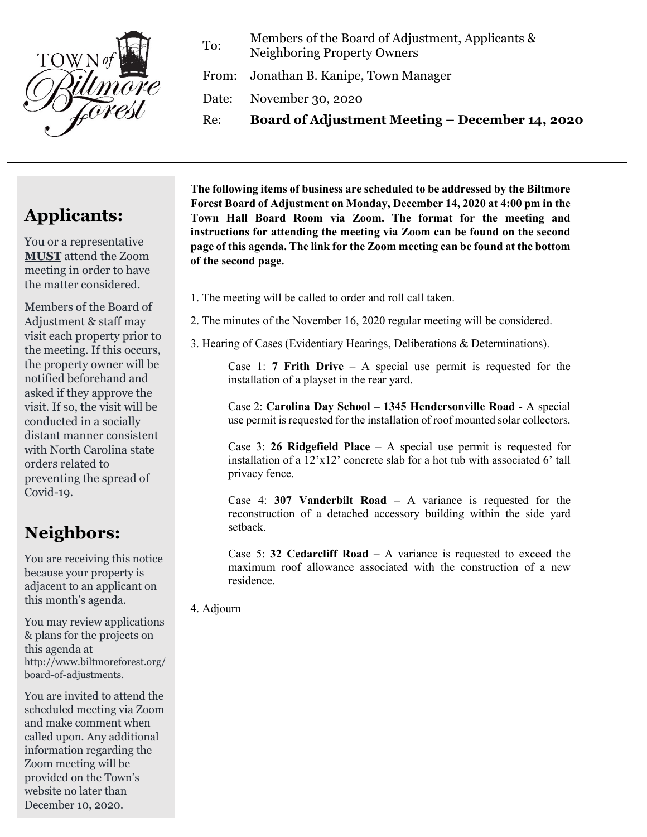

To: Members of the Board of Adjustment, Applicants & Neighboring Property Owners

From: Jonathan B. Kanipe, Town Manager

Date: November 30, 2020

Re: **Board of Adjustment Meeting – December 14, 2020**

## **Applicants:**

You or a representative **MUST** attend the Zoom meeting in order to have the matter considered.

Members of the Board of Adjustment & staff may visit each property prior to the meeting. If this occurs, the property owner will be notified beforehand and asked if they approve the visit. If so, the visit will be conducted in a socially distant manner consistent with North Carolina state orders related to preventing the spread of Covid-19.

## **Neighbors:**

You are receiving this notice because your property is adjacent to an applicant on this month's agenda.

You may review applications & plans for the projects on this agenda at http://www.biltmoreforest.org/ board-of-adjustments.

You are invited to attend the scheduled meeting via Zoom and make comment when called upon. Any additional information regarding the Zoom meeting will be provided on the Town's website no later than December 10, 2020.

**The following items of business are scheduled to be addressed by the Biltmore Forest Board of Adjustment on Monday, December 14, 2020 at 4:00 pm in the Town Hall Board Room via Zoom. The format for the meeting and instructions for attending the meeting via Zoom can be found on the second page of this agenda. The link for the Zoom meeting can be found at the bottom of the second page.**

- 1. The meeting will be called to order and roll call taken.
- 2. The minutes of the November 16, 2020 regular meeting will be considered.
- 3. Hearing of Cases (Evidentiary Hearings, Deliberations & Determinations).

Case 1: **7 Frith Drive** – A special use permit is requested for the installation of a playset in the rear yard.

Case 2: **Carolina Day School – 1345 Hendersonville Road** - A special use permit is requested for the installation of roof mounted solar collectors.

Case 3: **26 Ridgefield Place –** A special use permit is requested for installation of a 12'x12' concrete slab for a hot tub with associated 6' tall privacy fence.

Case 4: **307 Vanderbilt Road** – A variance is requested for the reconstruction of a detached accessory building within the side yard setback.

Case 5: **32 Cedarcliff Road –** A variance is requested to exceed the maximum roof allowance associated with the construction of a new residence.

4. Adjourn